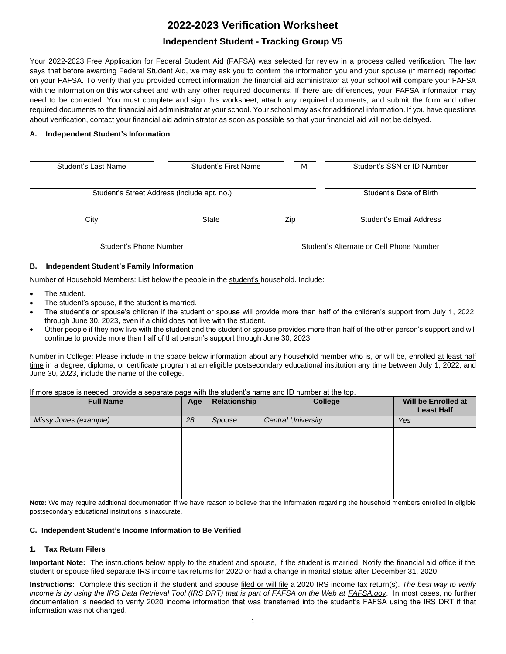# **2022-2023 Verification Worksheet**

# **Independent Student - Tracking Group V5**

Your 2022-2023 Free Application for Federal Student Aid (FAFSA) was selected for review in a process called verification. The law says that before awarding Federal Student Aid, we may ask you to confirm the information you and your spouse (if married) reported on your FAFSA. To verify that you provided correct information the financial aid administrator at your school will compare your FAFSA with the information on this worksheet and with any other required documents. If there are differences, your FAFSA information may need to be corrected. You must complete and sign this worksheet, attach any required documents, and submit the form and other required documents to the financial aid administrator at your school. Your school may ask for additional information. If you have questions about verification, contact your financial aid administrator as soon as possible so that your financial aid will not be delayed.

# **A. Independent Student's Information**

| Student's Last Name                         | Student's First Name | MI  | Student's SSN or ID Number               |  |
|---------------------------------------------|----------------------|-----|------------------------------------------|--|
| Student's Street Address (include apt. no.) |                      |     | Student's Date of Birth                  |  |
| City                                        | <b>State</b>         | Zip | Student's Email Address                  |  |
| Student's Phone Number                      |                      |     | Student's Alternate or Cell Phone Number |  |

#### **B. Independent Student's Family Information**

Number of Household Members: List below the people in the student's household. Include:

- The student.
- The student's spouse, if the student is married.
- The student's or spouse's children if the student or spouse will provide more than half of the children's support from July 1, 2022, through June 30, 2023, even if a child does not live with the student.
- Other people if they now live with the student and the student or spouse provides more than half of the other person's support and will continue to provide more than half of that person's support through June 30, 2023.

Number in College: Please include in the space below information about any household member who is, or will be, enrolled at least half time in a degree, diploma, or certificate program at an eligible postsecondary educational institution any time between July 1, 2022, and June 30, 2023, include the name of the college.

If more space is needed, provide a separate page with the student's name and ID number at the top.

| $\sim$<br><b>Full Name</b> | Age | Relationship | <b>College</b>            | Will be Enrolled at<br><b>Least Half</b> |
|----------------------------|-----|--------------|---------------------------|------------------------------------------|
| Missy Jones (example)      | 28  | Spouse       | <b>Central University</b> | Yes                                      |
|                            |     |              |                           |                                          |
|                            |     |              |                           |                                          |
|                            |     |              |                           |                                          |
|                            |     |              |                           |                                          |
|                            |     |              |                           |                                          |
|                            |     |              |                           |                                          |

 **Note:** We may require additional documentation if we have reason to believe that the information regarding the household members enrolled in eligible postsecondary educational institutions is inaccurate.

#### **C. Independent Student's Income Information to Be Verified**

# **1. Tax Return Filers**

 **Important Note:** The instructions below apply to the student and spouse, if the student is married. Notify the financial aid office if the student or spouse filed separate IRS income tax returns for 2020 or had a change in marital status after December 31, 2020.

 **Instructions:** Complete this section if the student and spouse filed or will file a 2020 IRS income tax return(s). *The best way to verify income is by using the IRS Data Retrieval Tool (IRS DRT) that is part of FAFSA on the Web at [FAFSA.gov](https://FAFSA.gov). In most cases, no further*  documentation is needed to verify 2020 income information that was transferred into the student's FAFSA using the IRS DRT if that information was not changed.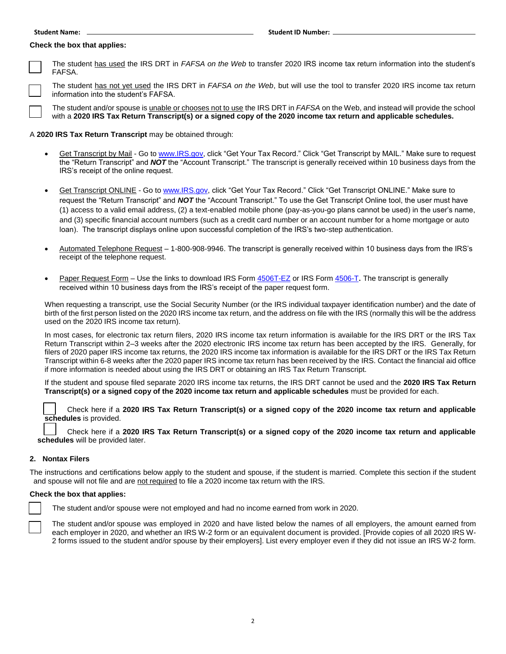#### **Check the box that applies:**



 The student has used the IRS DRT in *FAFSA on the Web* to transfer 2020 IRS income tax return information into the student's □ FAFSA.

 The student has not yet used the IRS DRT in *FAFSA on the Web*, but will use the tool to transfer 2020 IRS income tax return information into the student's FAFSA. □ i

 The student and/or spouse is unable or chooses not to use the IRS DRT in *FAFSA* on the Web, and instead will provide the school □ with a **2020 IRS Tax Return Transcript(s) or a signed copy of the 2020 income tax return and applicable schedules.** 

#### A **2020 IRS Tax Return Transcript** may be obtained through:

- <u>Get Transcript by Mail</u> Go to <u>www.IRS.gov</u>, click "Get Your Tax Record." Click "Get Transcript by MAIL." Make sure to request the "Return Transcript" and *NOT* the "Account Transcript." The transcript is generally received within 10 business days from the IRS's receipt of the online request.
- (1) access to a valid email address, (2) a text-enabled mobile phone (pay-as-you-go plans cannot be used) in the user's name, and (3) specific financial account numbers (such as a credit card number or an account number for a home mortgage or auto loan). The transcript displays online upon successful completion of the IRS's two-step authentication. Get Transcript ONLINE - Go t[o www.IRS.gov,](http://www.irs.gov/) click "Get Your Tax Record." Click "Get Transcript ONLINE." Make sure to request the "Return Transcript" and *NOT* the "Account Transcript." To use the Get Transcript Online tool, the user must have
- Automated Telephone Request 1-800-908-9946. The transcript is generally received within 10 business days from the IRS's receipt of the telephone request.
- Paper Request Form Use the links to download IRS For[m 4506T-EZ](https://www.irs.gov/pub/irs-pdf/f4506tez.pdf) or IRS For[m 4506-T](https://www.irs.gov/pub/irs-pdf/f4506t.pdf). The transcript is generally received within 10 business days from the IRS's receipt of the paper request form.

 When requesting a transcript, use the Social Security Number (or the IRS individual taxpayer identification number) and the date of birth of the first person listed on the 2020 IRS income tax return, and the address on file with the IRS (normally this will be the address used on the 2020 IRS income tax return).

 In most cases, for electronic tax return filers, 2020 IRS income tax return information is available for the IRS DRT or the IRS Tax Return Transcript within 2–3 weeks after the 2020 electronic IRS income tax return has been accepted by the IRS. Generally, for filers of 2020 paper IRS income tax returns, the 2020 IRS income tax information is available for the IRS DRT or the IRS Tax Return Transcript within 6-8 weeks after the 2020 paper IRS income tax return has been received by the IRS. Contact the financial aid office if more information is needed about using the IRS DRT or obtaining an IRS Tax Return Transcript.

 If the student and spouse filed separate 2020 IRS income tax returns, the IRS DRT cannot be used and the **2020 IRS Tax Return Transcript(s) or a signed copy of the 2020 income tax return and applicable schedules** must be provided for each.

 Check here if a **2020 IRS Tax Return Transcript(s) or a signed copy of the 2020 income tax return and applicable Schedules** is provided.

 Check here if a **2020 IRS Tax Return Transcript(s) or a signed copy of the 2020 income tax return and applicable Check here if a 2020 IF**<br>**schedules** will be provided later.

### **2. Nontax Filers**

 The instructions and certifications below apply to the student and spouse, if the student is married. Complete this section if the student and spouse will not file and are not required to file a 2020 income tax return with the IRS.

#### **Check the box that applies:**

□ The student and/or spouse were not employed and had no income earned from work in 2020.

 each employer in 2020, and whether an IRS W-2 form or an equivalent document is provided. [Provide copies of all 2020 IRS W- 2 forms issued to the student and/or spouse by their employers]. List every employer even if they did not issue an IRS W-2 form. □ The student and/or spouse was employed in 2020 and have listed below the names of all employers, the amount earned from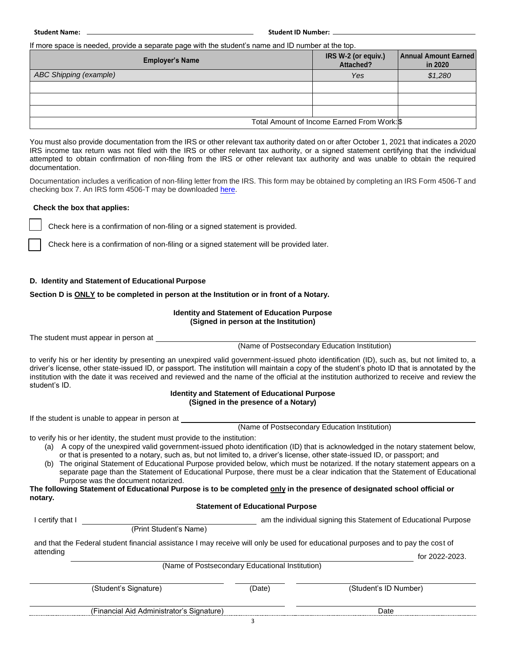**Student Name: Student ID Number:** 

If more space is needed, provide a separate page with the student's name and ID number at the top.

| <b>Employer's Name</b>        | IRS W-2 (or equiv.)<br>Attached?            | <b>Annual Amount Earned</b><br>in 2020 |
|-------------------------------|---------------------------------------------|----------------------------------------|
| <b>ABC Shipping (example)</b> | Yes                                         | \$1,280                                |
|                               |                                             |                                        |
|                               |                                             |                                        |
|                               |                                             |                                        |
|                               | Total Amount of Income Earned From Work: \$ |                                        |

 You must also provide documentation from the IRS or other relevant tax authority dated on or after October 1, 2021 that indicates a 2020 IRS income tax return was not filed with the IRS or other relevant tax authority, or a signed statement certifying that the individual attempted to obtain confirmation of non-filing from the IRS or other relevant tax authority and was unable to obtain the required documentation.

 Documentation includes a verification of non-filing letter from the IRS. This form may be obtained by completing an IRS Form 4506-T and checking box 7. An IRS form 4506-T may be downloade[d here.](https://www.irs.gov/pub/irs-pdf/f4506t.pdf)

#### **Check the box that applies:**

Check here is a confirmation of non-filing or a signed statement is provided.

□ Check here is a confirmation of non-filing or a signed statement will be provided later.

#### **D. Identity and Statement of Educational Purpose**

#### **Section D is ONLY to be completed in person at the Institution or in front of a Notary.**

#### **Identity and Statement of Education Purpose (Signed in person at the Institution)**

The student must appear in person at

(Name of Postsecondary Education Institution)

 to verify his or her identity by presenting an unexpired valid government-issued photo identification (ID), such as, but not limited to, a driver's license, other state-issued ID, or passport. The institution will maintain a copy of the student's photo ID that is annotated by the institution with the date it was received and reviewed and the name of the official at the institution authorized to receive and review the student's ID.

#### **Identity and Statement of Educational Purpose (Signed in the presence of a Notary)**

If the student is unable to appear in person at

(Name of Postsecondary Education Institution)

to verify his or her identity, the student must provide to the institution:

- (a) A copy of the unexpired valid government-issued photo identification (ID) that is acknowledged in the notary statement below, or that is presented to a notary, such as, but not limited to, a driver's license, other state-issued ID, or passport; and
- (b) The original Statement of Educational Purpose provided below, which must be notarized. If the notary statement appears on a separate page than the Statement of Educational Purpose, there must be a clear indication that the Statement of Educational Purpose was the document notarized.

**The following Statement of Educational Purpose is to be completed only in the presence of designated school official or notary.** 

# **Statement of Educational Purpose**

I certify that I am the individual signing this Statement of Educational Purpose

(Print Student's Name)

and that the Federal student financial assistance I may receive will only be used for educational purposes and to pay the cost of

| attending |                                                      | 2022-2022<br>tor<br>uzu |
|-----------|------------------------------------------------------|-------------------------|
|           | (Name of i<br>Postsecondary Educational Institution) |                         |

| (Student's Signature)                     | (Date) | (Student's ID Number) |  |
|-------------------------------------------|--------|-----------------------|--|
| (Financial Aid Administrator's Signature) |        | Date                  |  |
|                                           |        |                       |  |